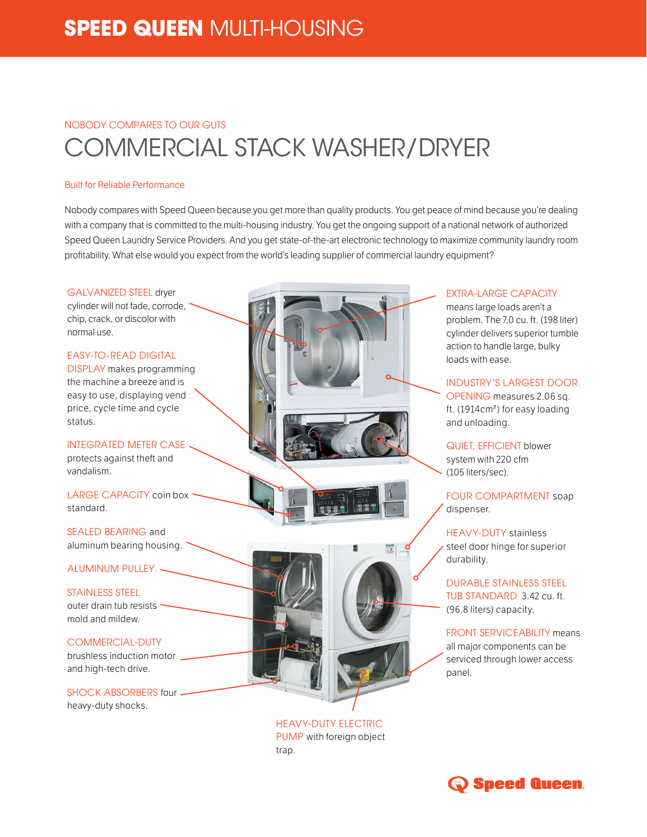# **SPEED QUEEN** MULTI-HOUSING

## NOBODY COMPARES TO OUR GUTS COMMERCIAL STACK WASHER/DRYER

#### Built for Reliable Performance

Nobody compares with Speed Queen because you get more than quality products. You get peace of mind because you're dealing with a company that is committed to the multi-housing industry. You get the ongoing support of a national network of authorized Speed Queen Laundry Service Providers. And you get state-of-the-art electronic technology to maximize community laundry room profitability. What else would you expect from the world's leading supplier of commercial laundry equipment?



**EXTRA-LARGE CAPACITY** 

means large loads aren't a problem. The 7.0 cu. ft. (198 liter) cylinder delivers superior tumble action to handle large, bulky loads with ease.

## INDUSTRY'S LARGEST DOOR

OPENING measures 2.06 sq. ft. (1914cm²) for easy loading and unloading.

QUIET, EFFICIENT blower system with 220 cfm (105 liters/sec).

FOUR COMPARTMENT soap dispenser.

HEAVY-DUTY stainless steel door hinge for superior durability.

DURABLE STAINLESS STEEL TUB STANDARD 3.42 cu. ft. (96.8 liters) capacity.

FRONT SERVICEABILITY means all major components can be serviced through lower access panel.